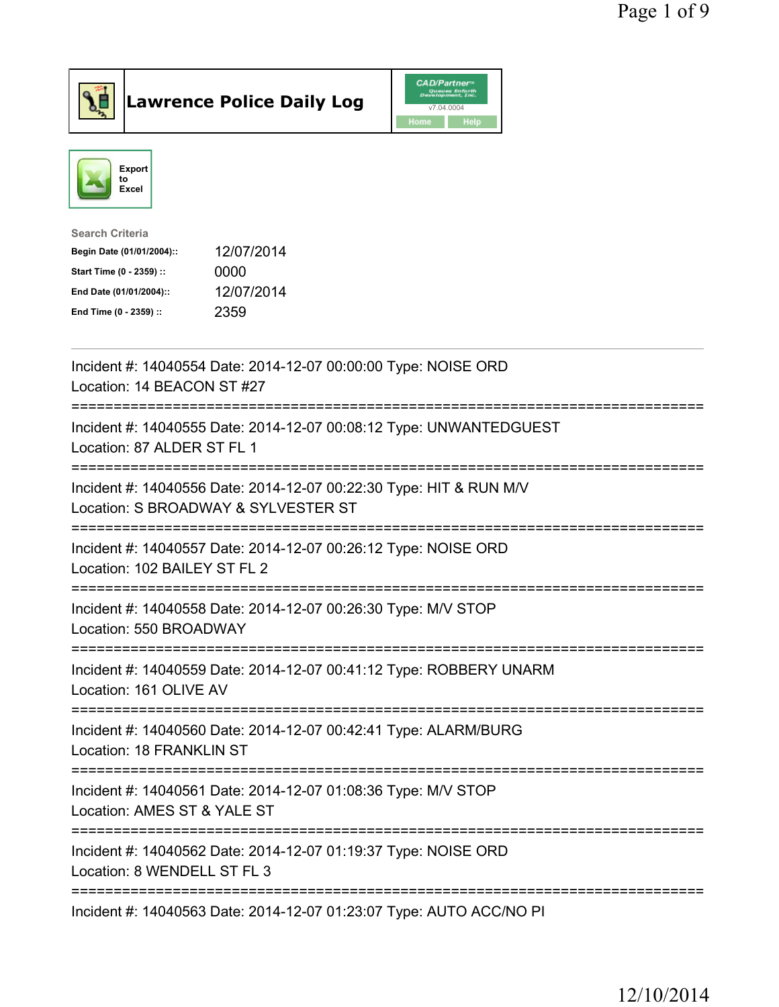



| <b>Search Criteria</b>    |            |
|---------------------------|------------|
| Begin Date (01/01/2004):: | 12/07/2014 |
| Start Time (0 - 2359) ::  | 0000       |
| End Date (01/01/2004)::   | 12/07/2014 |
| End Time (0 - 2359) ::    | 2359       |

| Incident #: 14040554 Date: 2014-12-07 00:00:00 Type: NOISE ORD<br>Location: 14 BEACON ST #27                                       |
|------------------------------------------------------------------------------------------------------------------------------------|
| Incident #: 14040555 Date: 2014-12-07 00:08:12 Type: UNWANTEDGUEST<br>Location: 87 ALDER ST FL 1                                   |
| Incident #: 14040556 Date: 2014-12-07 00:22:30 Type: HIT & RUN M/V<br>Location: S BROADWAY & SYLVESTER ST                          |
| Incident #: 14040557 Date: 2014-12-07 00:26:12 Type: NOISE ORD<br>Location: 102 BAILEY ST FL 2                                     |
| Incident #: 14040558 Date: 2014-12-07 00:26:30 Type: M/V STOP<br>Location: 550 BROADWAY                                            |
| Incident #: 14040559 Date: 2014-12-07 00:41:12 Type: ROBBERY UNARM<br>Location: 161 OLIVE AV<br>==========================         |
| Incident #: 14040560 Date: 2014-12-07 00:42:41 Type: ALARM/BURG<br>Location: 18 FRANKLIN ST<br>----------------------------------- |
| Incident #: 14040561 Date: 2014-12-07 01:08:36 Type: M/V STOP<br>Location: AMES ST & YALE ST                                       |
| Incident #: 14040562 Date: 2014-12-07 01:19:37 Type: NOISE ORD<br>Location: 8 WENDELL ST FL 3                                      |
| =====================<br>Incident #: 14040563 Date: 2014-12-07 01:23:07 Type: AUTO ACC/NO PI                                       |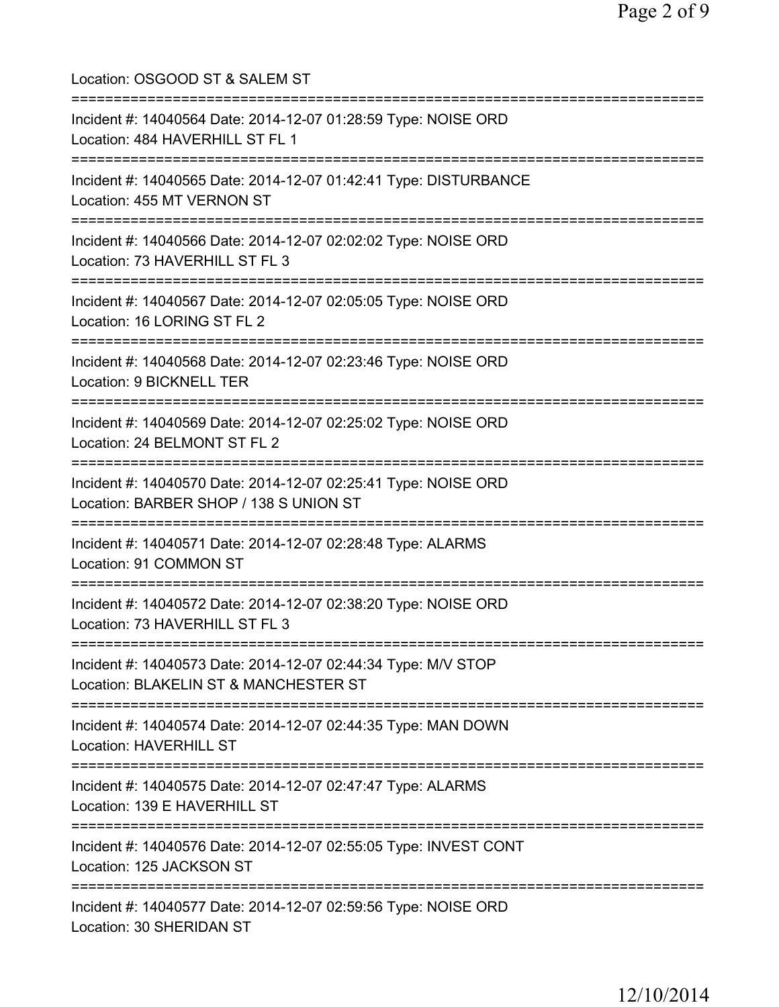| Location: OSGOOD ST & SALEM ST<br>===============================                                                                                |
|--------------------------------------------------------------------------------------------------------------------------------------------------|
| Incident #: 14040564 Date: 2014-12-07 01:28:59 Type: NOISE ORD<br>Location: 484 HAVERHILL ST FL 1<br>====================================        |
| Incident #: 14040565 Date: 2014-12-07 01:42:41 Type: DISTURBANCE<br>Location: 455 MT VERNON ST                                                   |
| Incident #: 14040566 Date: 2014-12-07 02:02:02 Type: NOISE ORD<br>Location: 73 HAVERHILL ST FL 3                                                 |
| =======================<br>Incident #: 14040567 Date: 2014-12-07 02:05:05 Type: NOISE ORD<br>Location: 16 LORING ST FL 2                         |
| Incident #: 14040568 Date: 2014-12-07 02:23:46 Type: NOISE ORD<br>Location: 9 BICKNELL TER                                                       |
| Incident #: 14040569 Date: 2014-12-07 02:25:02 Type: NOISE ORD<br>Location: 24 BELMONT ST FL 2                                                   |
| Incident #: 14040570 Date: 2014-12-07 02:25:41 Type: NOISE ORD<br>Location: BARBER SHOP / 138 S UNION ST                                         |
| Incident #: 14040571 Date: 2014-12-07 02:28:48 Type: ALARMS<br>Location: 91 COMMON ST                                                            |
| Incident #: 14040572 Date: 2014-12-07 02:38:20 Type: NOISE ORD<br>Location: 73 HAVERHILL ST FL 3                                                 |
| ======================================<br>Incident #: 14040573 Date: 2014-12-07 02:44:34 Type: M/V STOP<br>Location: BLAKELIN ST & MANCHESTER ST |
| Incident #: 14040574 Date: 2014-12-07 02:44:35 Type: MAN DOWN<br><b>Location: HAVERHILL ST</b>                                                   |
| Incident #: 14040575 Date: 2014-12-07 02:47:47 Type: ALARMS<br>Location: 139 E HAVERHILL ST                                                      |
| Incident #: 14040576 Date: 2014-12-07 02:55:05 Type: INVEST CONT<br>Location: 125 JACKSON ST                                                     |
| Incident #: 14040577 Date: 2014-12-07 02:59:56 Type: NOISE ORD<br>Location: 30 SHERIDAN ST                                                       |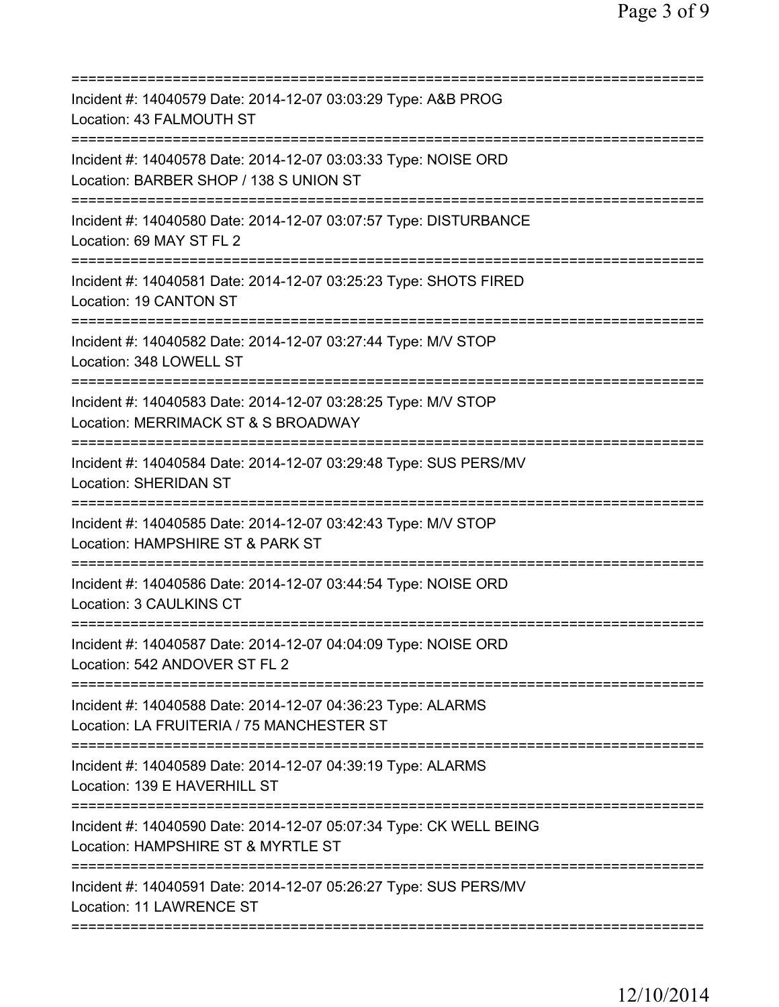| Incident #: 14040579 Date: 2014-12-07 03:03:29 Type: A&B PROG<br>Location: 43 FALMOUTH ST<br>====================<br>===============          |
|-----------------------------------------------------------------------------------------------------------------------------------------------|
| Incident #: 14040578 Date: 2014-12-07 03:03:33 Type: NOISE ORD<br>Location: BARBER SHOP / 138 S UNION ST                                      |
| Incident #: 14040580 Date: 2014-12-07 03:07:57 Type: DISTURBANCE<br>Location: 69 MAY ST FL 2                                                  |
| Incident #: 14040581 Date: 2014-12-07 03:25:23 Type: SHOTS FIRED<br>Location: 19 CANTON ST                                                    |
| Incident #: 14040582 Date: 2014-12-07 03:27:44 Type: M/V STOP<br>Location: 348 LOWELL ST                                                      |
| =====================================<br>Incident #: 14040583 Date: 2014-12-07 03:28:25 Type: M/V STOP<br>Location: MERRIMACK ST & S BROADWAY |
| Incident #: 14040584 Date: 2014-12-07 03:29:48 Type: SUS PERS/MV<br><b>Location: SHERIDAN ST</b>                                              |
| Incident #: 14040585 Date: 2014-12-07 03:42:43 Type: M/V STOP<br>Location: HAMPSHIRE ST & PARK ST                                             |
| Incident #: 14040586 Date: 2014-12-07 03:44:54 Type: NOISE ORD<br>Location: 3 CAULKINS CT                                                     |
| Incident #: 14040587 Date: 2014-12-07 04:04:09 Type: NOISE ORD<br>Location: 542 ANDOVER ST FL 2                                               |
| Incident #: 14040588 Date: 2014-12-07 04:36:23 Type: ALARMS<br>Location: LA FRUITERIA / 75 MANCHESTER ST                                      |
| Incident #: 14040589 Date: 2014-12-07 04:39:19 Type: ALARMS<br>Location: 139 E HAVERHILL ST                                                   |
| Incident #: 14040590 Date: 2014-12-07 05:07:34 Type: CK WELL BEING<br>Location: HAMPSHIRE ST & MYRTLE ST<br>===============================   |
| Incident #: 14040591 Date: 2014-12-07 05:26:27 Type: SUS PERS/MV<br>Location: 11 LAWRENCE ST                                                  |
|                                                                                                                                               |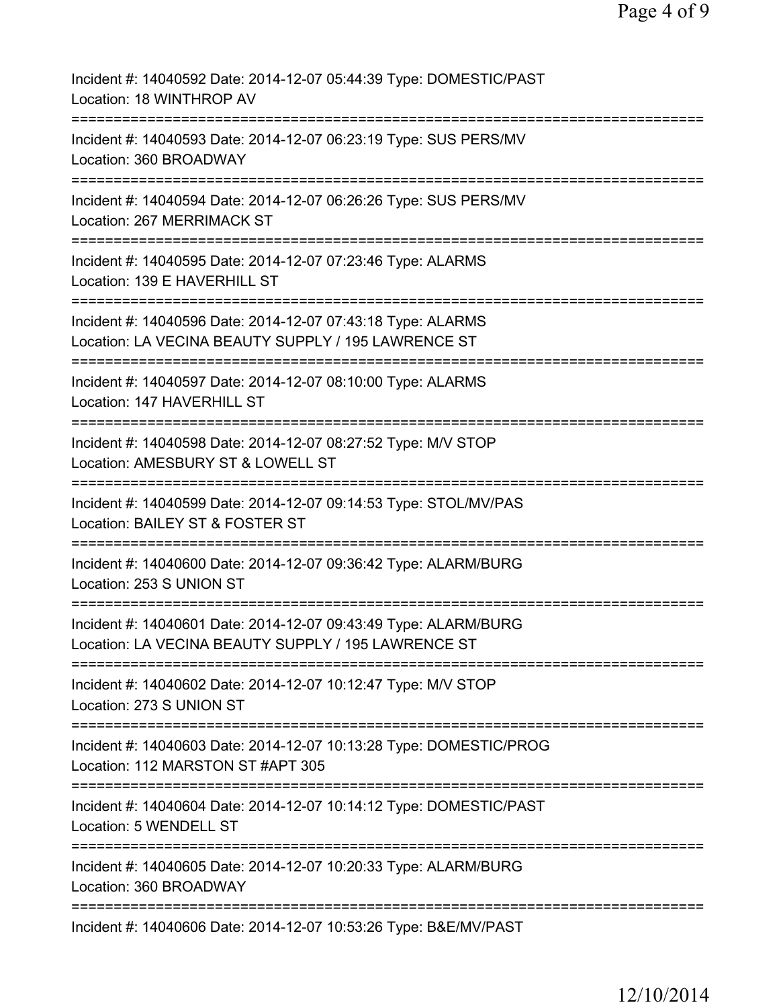| Incident #: 14040592 Date: 2014-12-07 05:44:39 Type: DOMESTIC/PAST<br>Location: 18 WINTHROP AV                                                        |
|-------------------------------------------------------------------------------------------------------------------------------------------------------|
| Incident #: 14040593 Date: 2014-12-07 06:23:19 Type: SUS PERS/MV<br>Location: 360 BROADWAY                                                            |
| Incident #: 14040594 Date: 2014-12-07 06:26:26 Type: SUS PERS/MV<br>Location: 267 MERRIMACK ST                                                        |
| Incident #: 14040595 Date: 2014-12-07 07:23:46 Type: ALARMS<br>Location: 139 E HAVERHILL ST                                                           |
| Incident #: 14040596 Date: 2014-12-07 07:43:18 Type: ALARMS<br>Location: LA VECINA BEAUTY SUPPLY / 195 LAWRENCE ST<br>========================        |
| Incident #: 14040597 Date: 2014-12-07 08:10:00 Type: ALARMS<br>Location: 147 HAVERHILL ST                                                             |
| Incident #: 14040598 Date: 2014-12-07 08:27:52 Type: M/V STOP<br>Location: AMESBURY ST & LOWELL ST<br>==============================<br>============= |
| Incident #: 14040599 Date: 2014-12-07 09:14:53 Type: STOL/MV/PAS<br>Location: BAILEY ST & FOSTER ST<br>==============                                 |
| Incident #: 14040600 Date: 2014-12-07 09:36:42 Type: ALARM/BURG<br>Location: 253 S UNION ST                                                           |
| Incident #: 14040601 Date: 2014-12-07 09:43:49 Type: ALARM/BURG<br>Location: LA VECINA BEAUTY SUPPLY / 195 LAWRENCE ST                                |
| Incident #: 14040602 Date: 2014-12-07 10:12:47 Type: M/V STOP<br>Location: 273 S UNION ST                                                             |
| Incident #: 14040603 Date: 2014-12-07 10:13:28 Type: DOMESTIC/PROG<br>Location: 112 MARSTON ST #APT 305                                               |
| Incident #: 14040604 Date: 2014-12-07 10:14:12 Type: DOMESTIC/PAST<br>Location: 5 WENDELL ST                                                          |
| Incident #: 14040605 Date: 2014-12-07 10:20:33 Type: ALARM/BURG<br>Location: 360 BROADWAY                                                             |
| Incident #: 14040606 Date: 2014-12-07 10:53:26 Type: B&E/MV/PAST                                                                                      |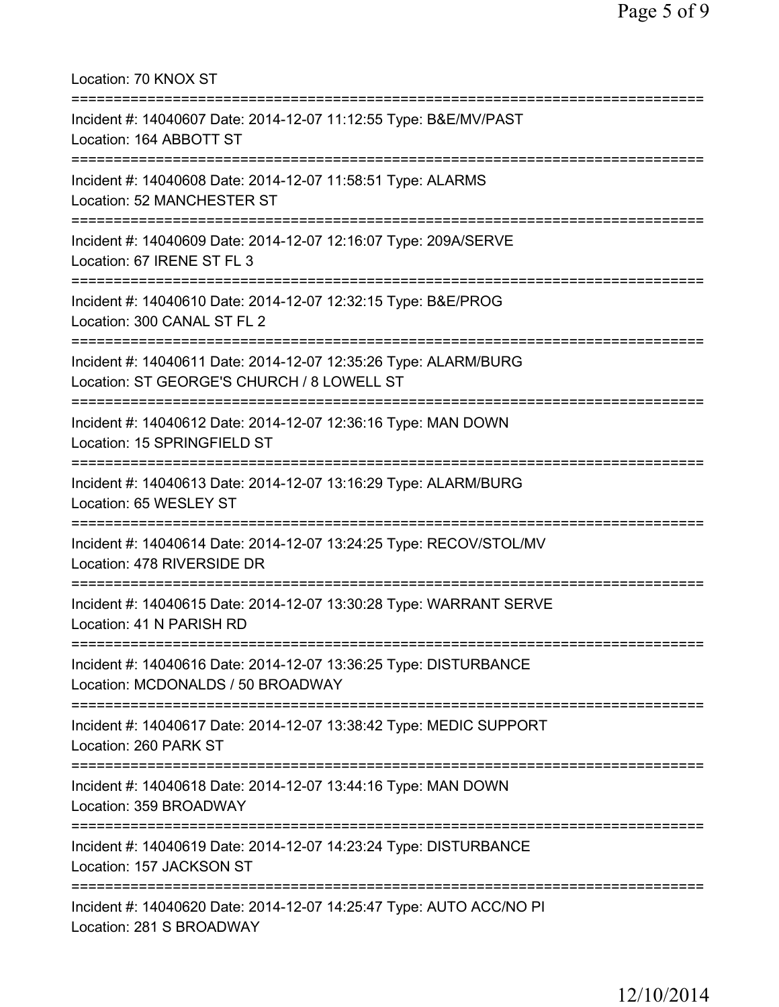| Location: 70 KNOX ST<br>====================================                                                                                                          |
|-----------------------------------------------------------------------------------------------------------------------------------------------------------------------|
| Incident #: 14040607 Date: 2014-12-07 11:12:55 Type: B&E/MV/PAST<br>Location: 164 ABBOTT ST<br>====================================                                   |
| Incident #: 14040608 Date: 2014-12-07 11:58:51 Type: ALARMS<br>Location: 52 MANCHESTER ST                                                                             |
| Incident #: 14040609 Date: 2014-12-07 12:16:07 Type: 209A/SERVE<br>Location: 67 IRENE ST FL 3                                                                         |
| Incident #: 14040610 Date: 2014-12-07 12:32:15 Type: B&E/PROG<br>Location: 300 CANAL ST FL 2                                                                          |
| .=====================================<br>Incident #: 14040611 Date: 2014-12-07 12:35:26 Type: ALARM/BURG<br>Location: ST GEORGE'S CHURCH / 8 LOWELL ST               |
| Incident #: 14040612 Date: 2014-12-07 12:36:16 Type: MAN DOWN<br>Location: 15 SPRINGFIELD ST                                                                          |
| Incident #: 14040613 Date: 2014-12-07 13:16:29 Type: ALARM/BURG<br>Location: 65 WESLEY ST                                                                             |
| Incident #: 14040614 Date: 2014-12-07 13:24:25 Type: RECOV/STOL/MV<br>Location: 478 RIVERSIDE DR                                                                      |
| ==============================<br>Incident #: 14040615 Date: 2014-12-07 13:30:28 Type: WARRANT SERVE<br>Location: 41 N PARISH RD                                      |
| =====================================<br>===================<br>Incident #: 14040616 Date: 2014-12-07 13:36:25 Type: DISTURBANCE<br>Location: MCDONALDS / 50 BROADWAY |
| Incident #: 14040617 Date: 2014-12-07 13:38:42 Type: MEDIC SUPPORT<br>Location: 260 PARK ST                                                                           |
| Incident #: 14040618 Date: 2014-12-07 13:44:16 Type: MAN DOWN<br>Location: 359 BROADWAY                                                                               |
| :===================<br>Incident #: 14040619 Date: 2014-12-07 14:23:24 Type: DISTURBANCE<br>Location: 157 JACKSON ST                                                  |
| Incident #: 14040620 Date: 2014-12-07 14:25:47 Type: AUTO ACC/NO PI<br>Location: 281 S BROADWAY                                                                       |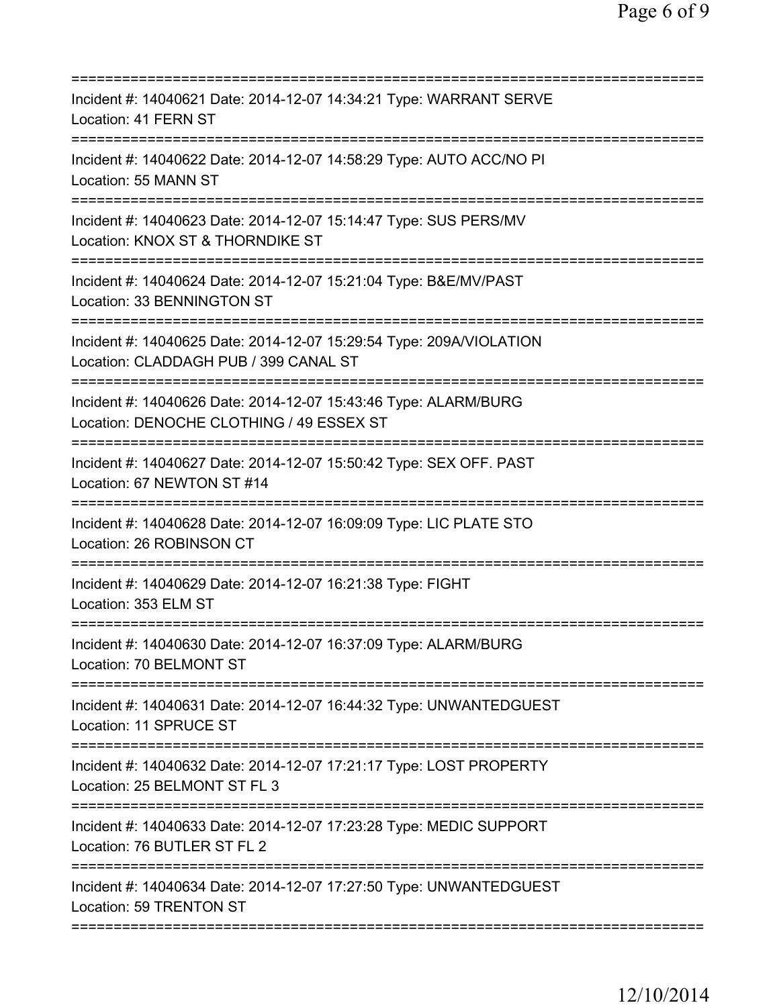| Incident #: 14040621 Date: 2014-12-07 14:34:21 Type: WARRANT SERVE<br>Location: 41 FERN ST                                                                                        |
|-----------------------------------------------------------------------------------------------------------------------------------------------------------------------------------|
| Incident #: 14040622 Date: 2014-12-07 14:58:29 Type: AUTO ACC/NO PI<br>Location: 55 MANN ST                                                                                       |
| Incident #: 14040623 Date: 2014-12-07 15:14:47 Type: SUS PERS/MV<br>Location: KNOX ST & THORNDIKE ST                                                                              |
| Incident #: 14040624 Date: 2014-12-07 15:21:04 Type: B&E/MV/PAST<br>Location: 33 BENNINGTON ST                                                                                    |
| Incident #: 14040625 Date: 2014-12-07 15:29:54 Type: 209A/VIOLATION<br>Location: CLADDAGH PUB / 399 CANAL ST                                                                      |
| =========================<br>Incident #: 14040626 Date: 2014-12-07 15:43:46 Type: ALARM/BURG<br>Location: DENOCHE CLOTHING / 49 ESSEX ST<br>===================================== |
| Incident #: 14040627 Date: 2014-12-07 15:50:42 Type: SEX OFF. PAST<br>Location: 67 NEWTON ST #14                                                                                  |
| Incident #: 14040628 Date: 2014-12-07 16:09:09 Type: LIC PLATE STO<br>Location: 26 ROBINSON CT                                                                                    |
| Incident #: 14040629 Date: 2014-12-07 16:21:38 Type: FIGHT<br>Location: 353 ELM ST                                                                                                |
| Incident #: 14040630 Date: 2014-12-07 16:37:09 Type: ALARM/BURG<br>Location: 70 BELMONT ST                                                                                        |
| Incident #: 14040631 Date: 2014-12-07 16:44:32 Type: UNWANTEDGUEST<br>Location: 11 SPRUCE ST                                                                                      |
| Incident #: 14040632 Date: 2014-12-07 17:21:17 Type: LOST PROPERTY<br>Location: 25 BELMONT ST FL 3                                                                                |
| Incident #: 14040633 Date: 2014-12-07 17:23:28 Type: MEDIC SUPPORT<br>Location: 76 BUTLER ST FL 2                                                                                 |
| Incident #: 14040634 Date: 2014-12-07 17:27:50 Type: UNWANTEDGUEST<br>Location: 59 TRENTON ST                                                                                     |
|                                                                                                                                                                                   |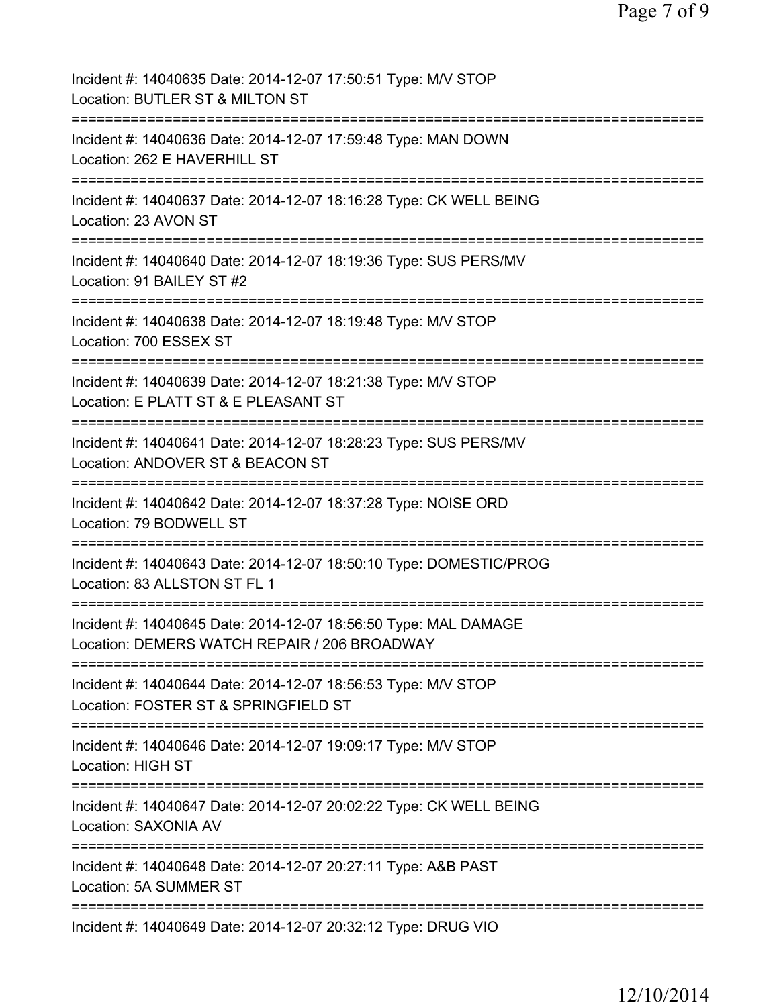| Incident #: 14040635 Date: 2014-12-07 17:50:51 Type: M/V STOP<br>Location: BUTLER ST & MILTON ST                                                 |
|--------------------------------------------------------------------------------------------------------------------------------------------------|
| Incident #: 14040636 Date: 2014-12-07 17:59:48 Type: MAN DOWN<br>Location: 262 E HAVERHILL ST                                                    |
| Incident #: 14040637 Date: 2014-12-07 18:16:28 Type: CK WELL BEING<br>Location: 23 AVON ST                                                       |
| Incident #: 14040640 Date: 2014-12-07 18:19:36 Type: SUS PERS/MV<br>Location: 91 BAILEY ST #2                                                    |
| Incident #: 14040638 Date: 2014-12-07 18:19:48 Type: M/V STOP<br>Location: 700 ESSEX ST                                                          |
| Incident #: 14040639 Date: 2014-12-07 18:21:38 Type: M/V STOP<br>Location: E PLATT ST & E PLEASANT ST                                            |
| Incident #: 14040641 Date: 2014-12-07 18:28:23 Type: SUS PERS/MV<br>Location: ANDOVER ST & BEACON ST                                             |
| Incident #: 14040642 Date: 2014-12-07 18:37:28 Type: NOISE ORD<br>Location: 79 BODWELL ST                                                        |
| ;====================================<br>Incident #: 14040643 Date: 2014-12-07 18:50:10 Type: DOMESTIC/PROG<br>Location: 83 ALLSTON ST FL 1      |
| Incident #: 14040645 Date: 2014-12-07 18:56:50 Type: MAL DAMAGE<br>Location: DEMERS WATCH REPAIR / 206 BROADWAY                                  |
| ==============================<br>Incident #: 14040644 Date: 2014-12-07 18:56:53 Type: M/V STOP<br>Location: FOSTER ST & SPRINGFIELD ST          |
| =========================<br>=============================<br>Incident #: 14040646 Date: 2014-12-07 19:09:17 Type: M/V STOP<br>Location: HIGH ST |
| Incident #: 14040647 Date: 2014-12-07 20:02:22 Type: CK WELL BEING<br>Location: SAXONIA AV                                                       |
| Incident #: 14040648 Date: 2014-12-07 20:27:11 Type: A&B PAST<br><b>Location: 5A SUMMER ST</b>                                                   |
| Incident #: 14040649 Date: 2014-12-07 20:32:12 Type: DRUG VIO                                                                                    |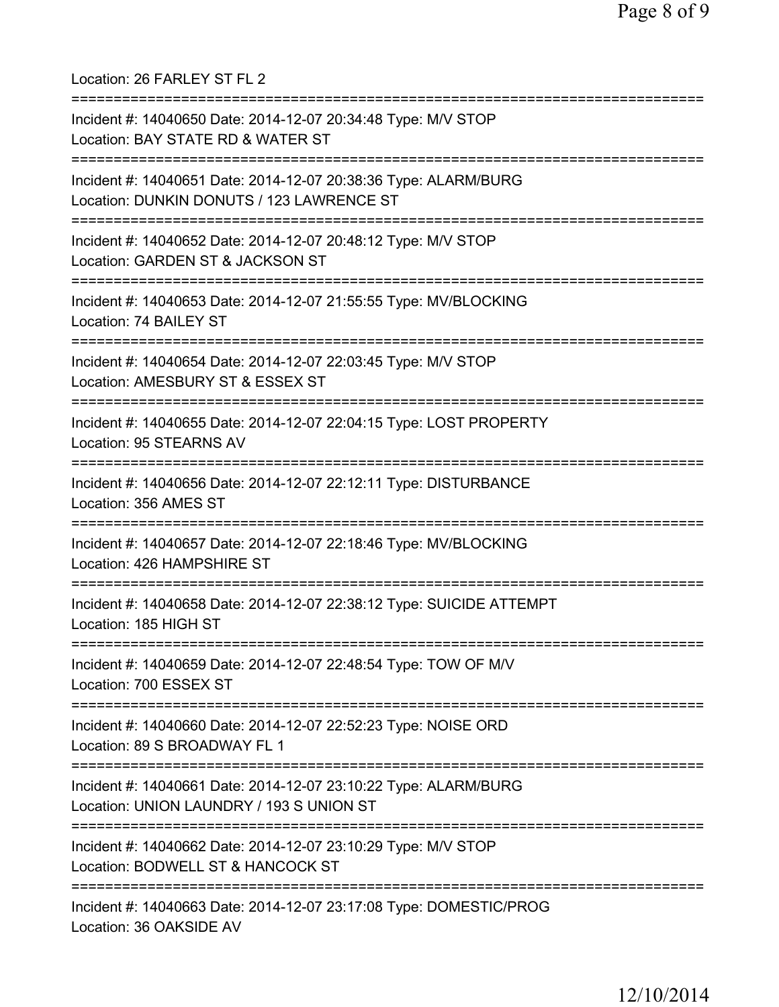Location: 26 FARLEY ST FL 2 =========================================================================== Incident #: 14040650 Date: 2014-12-07 20:34:48 Type: M/V STOP Location: BAY STATE RD & WATER ST =========================================================================== Incident #: 14040651 Date: 2014-12-07 20:38:36 Type: ALARM/BURG Location: DUNKIN DONUTS / 123 LAWRENCE ST =========================================================================== Incident #: 14040652 Date: 2014-12-07 20:48:12 Type: M/V STOP Location: GARDEN ST & JACKSON ST =========================================================================== Incident #: 14040653 Date: 2014-12-07 21:55:55 Type: MV/BLOCKING Location: 74 BAILEY ST =========================================================================== Incident #: 14040654 Date: 2014-12-07 22:03:45 Type: M/V STOP Location: AMESBURY ST & ESSEX ST =========================================================================== Incident #: 14040655 Date: 2014-12-07 22:04:15 Type: LOST PROPERTY Location: 95 STEARNS AV =========================================================================== Incident #: 14040656 Date: 2014-12-07 22:12:11 Type: DISTURBANCE Location: 356 AMES ST =========================================================================== Incident #: 14040657 Date: 2014-12-07 22:18:46 Type: MV/BLOCKING Location: 426 HAMPSHIRE ST =========================================================================== Incident #: 14040658 Date: 2014-12-07 22:38:12 Type: SUICIDE ATTEMPT Location: 185 HIGH ST =========================================================================== Incident #: 14040659 Date: 2014-12-07 22:48:54 Type: TOW OF M/V Location: 700 ESSEX ST =========================================================================== Incident #: 14040660 Date: 2014-12-07 22:52:23 Type: NOISE ORD Location: 89 S BROADWAY FL 1 =========================================================================== Incident #: 14040661 Date: 2014-12-07 23:10:22 Type: ALARM/BURG Location: UNION LAUNDRY / 193 S UNION ST =========================================================================== Incident #: 14040662 Date: 2014-12-07 23:10:29 Type: M/V STOP Location: BODWELL ST & HANCOCK ST =========================================================================== Incident #: 14040663 Date: 2014-12-07 23:17:08 Type: DOMESTIC/PROG Location: 36 OAKSIDE AV